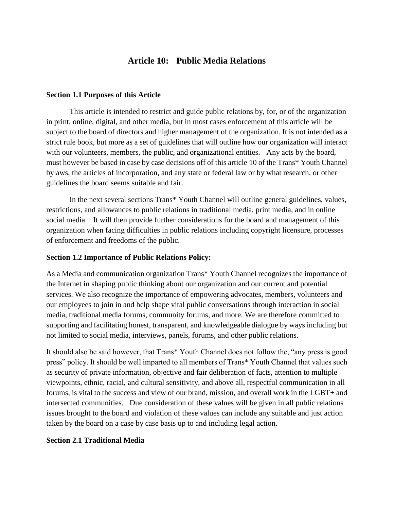# **Article 10: Public Media Relations**

#### **Section 1.1 Purposes of this Article**

This article is intended to restrict and guide public relations by, for, or of the organization in print, online, digital, and other media, but in most cases enforcement of this article will be subject to the board of directors and higher management of the organization. It is not intended as a strict rule book, but more as a set of guidelines that will outline how our organization will interact with our volunteers, members, the public, and organizational entities. Any acts by the board, must however be based in case by case decisions off of this article 10 of the Trans\* Youth Channel bylaws, the articles of incorporation, and any state or federal law or by what research, or other guidelines the board seems suitable and fair.

In the next several sections Trans\* Youth Channel will outline general guidelines, values, restrictions, and allowances to public relations in traditional media, print media, and in online social media. It will then provide further considerations for the board and management of this organization when facing difficulties in public relations including copyright licensure, processes of enforcement and freedoms of the public.

## **Section 1.2 Importance of Public Relations Policy:**

As a Media and communication organization Trans\* Youth Channel recognizes the importance of the Internet in shaping public thinking about our organization and our current and potential services. We also recognize the importance of empowering advocates, members, volunteers and our employees to join in and help shape vital public conversations through interaction in social media, traditional media forums, community forums, and more. We are therefore committed to supporting and facilitating honest, transparent, and knowledgeable dialogue by ways including but not limited to social media, interviews, panels, forums, and other public relations.

It should also be said however, that Trans\* Youth Channel does not follow the, "any press is good press" policy. It should be well imparted to all members of Trans\* Youth Channel that values such as security of private information, objective and fair deliberation of facts, attention to multiple viewpoints, ethnic, racial, and cultural sensitivity, and above all, respectful communication in all forums, is vital to the success and view of our brand, mission, and overall work in the LGBT+ and intersected communities. Due consideration of these values will be given in all public relations issues brought to the board and violation of these values can include any suitable and just action taken by the board on a case by case basis up to and including legal action.

## **Section 2.1 Traditional Media**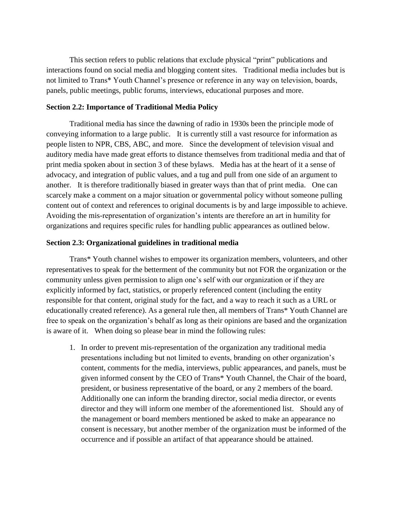This section refers to public relations that exclude physical "print" publications and interactions found on social media and blogging content sites. Traditional media includes but is not limited to Trans\* Youth Channel's presence or reference in any way on television, boards, panels, public meetings, public forums, interviews, educational purposes and more.

#### **Section 2.2: Importance of Traditional Media Policy**

Traditional media has since the dawning of radio in 1930s been the principle mode of conveying information to a large public. It is currently still a vast resource for information as people listen to NPR, CBS, ABC, and more. Since the development of television visual and auditory media have made great efforts to distance themselves from traditional media and that of print media spoken about in section 3 of these bylaws. Media has at the heart of it a sense of advocacy, and integration of public values, and a tug and pull from one side of an argument to another. It is therefore traditionally biased in greater ways than that of print media. One can scarcely make a comment on a major situation or governmental policy without someone pulling content out of context and references to original documents is by and large impossible to achieve. Avoiding the mis-representation of organization's intents are therefore an art in humility for organizations and requires specific rules for handling public appearances as outlined below.

#### **Section 2.3: Organizational guidelines in traditional media**

Trans\* Youth channel wishes to empower its organization members, volunteers, and other representatives to speak for the betterment of the community but not FOR the organization or the community unless given permission to align one's self with our organization or if they are explicitly informed by fact, statistics, or properly referenced content (including the entity responsible for that content, original study for the fact, and a way to reach it such as a URL or educationally created reference). As a general rule then, all members of Trans\* Youth Channel are free to speak on the organization's behalf as long as their opinions are based and the organization is aware of it. When doing so please bear in mind the following rules:

1. In order to prevent mis-representation of the organization any traditional media presentations including but not limited to events, branding on other organization's content, comments for the media, interviews, public appearances, and panels, must be given informed consent by the CEO of Trans\* Youth Channel, the Chair of the board, president, or business representative of the board, or any 2 members of the board. Additionally one can inform the branding director, social media director, or events director and they will inform one member of the aforementioned list. Should any of the management or board members mentioned be asked to make an appearance no consent is necessary, but another member of the organization must be informed of the occurrence and if possible an artifact of that appearance should be attained.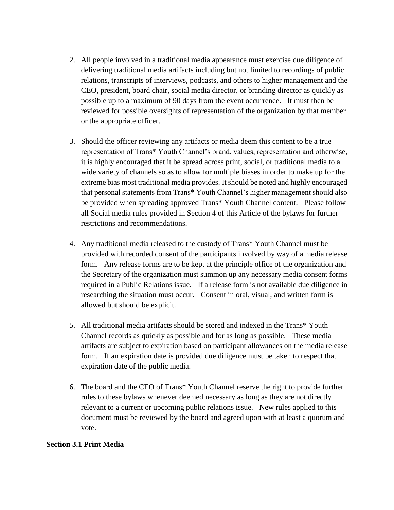- 2. All people involved in a traditional media appearance must exercise due diligence of delivering traditional media artifacts including but not limited to recordings of public relations, transcripts of interviews, podcasts, and others to higher management and the CEO, president, board chair, social media director, or branding director as quickly as possible up to a maximum of 90 days from the event occurrence. It must then be reviewed for possible oversights of representation of the organization by that member or the appropriate officer.
- 3. Should the officer reviewing any artifacts or media deem this content to be a true representation of Trans\* Youth Channel's brand, values, representation and otherwise, it is highly encouraged that it be spread across print, social, or traditional media to a wide variety of channels so as to allow for multiple biases in order to make up for the extreme bias most traditional media provides. It should be noted and highly encouraged that personal statements from Trans\* Youth Channel's higher management should also be provided when spreading approved Trans\* Youth Channel content. Please follow all Social media rules provided in Section 4 of this Article of the bylaws for further restrictions and recommendations.
- 4. Any traditional media released to the custody of Trans\* Youth Channel must be provided with recorded consent of the participants involved by way of a media release form. Any release forms are to be kept at the principle office of the organization and the Secretary of the organization must summon up any necessary media consent forms required in a Public Relations issue. If a release form is not available due diligence in researching the situation must occur. Consent in oral, visual, and written form is allowed but should be explicit.
- 5. All traditional media artifacts should be stored and indexed in the Trans\* Youth Channel records as quickly as possible and for as long as possible. These media artifacts are subject to expiration based on participant allowances on the media release form. If an expiration date is provided due diligence must be taken to respect that expiration date of the public media.
- 6. The board and the CEO of Trans\* Youth Channel reserve the right to provide further rules to these bylaws whenever deemed necessary as long as they are not directly relevant to a current or upcoming public relations issue. New rules applied to this document must be reviewed by the board and agreed upon with at least a quorum and vote.

## **Section 3.1 Print Media**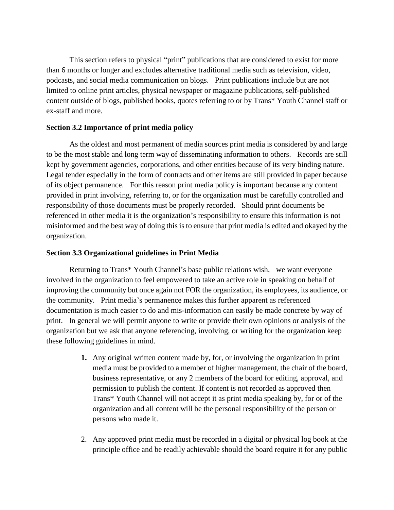This section refers to physical "print" publications that are considered to exist for more than 6 months or longer and excludes alternative traditional media such as television, video, podcasts, and social media communication on blogs. Print publications include but are not limited to online print articles, physical newspaper or magazine publications, self-published content outside of blogs, published books, quotes referring to or by Trans\* Youth Channel staff or ex-staff and more.

## **Section 3.2 Importance of print media policy**

As the oldest and most permanent of media sources print media is considered by and large to be the most stable and long term way of disseminating information to others. Records are still kept by government agencies, corporations, and other entities because of its very binding nature. Legal tender especially in the form of contracts and other items are still provided in paper because of its object permanence. For this reason print media policy is important because any content provided in print involving, referring to, or for the organization must be carefully controlled and responsibility of those documents must be properly recorded. Should print documents be referenced in other media it is the organization's responsibility to ensure this information is not misinformed and the best way of doing this is to ensure that print media is edited and okayed by the organization.

# **Section 3.3 Organizational guidelines in Print Media**

Returning to Trans\* Youth Channel's base public relations wish, we want everyone involved in the organization to feel empowered to take an active role in speaking on behalf of improving the community but once again not FOR the organization, its employees, its audience, or the community. Print media's permanence makes this further apparent as referenced documentation is much easier to do and mis-information can easily be made concrete by way of print. In general we will permit anyone to write or provide their own opinions or analysis of the organization but we ask that anyone referencing, involving, or writing for the organization keep these following guidelines in mind.

- **1.** Any original written content made by, for, or involving the organization in print media must be provided to a member of higher management, the chair of the board, business representative, or any 2 members of the board for editing, approval, and permission to publish the content. If content is not recorded as approved then Trans\* Youth Channel will not accept it as print media speaking by, for or of the organization and all content will be the personal responsibility of the person or persons who made it.
- 2. Any approved print media must be recorded in a digital or physical log book at the principle office and be readily achievable should the board require it for any public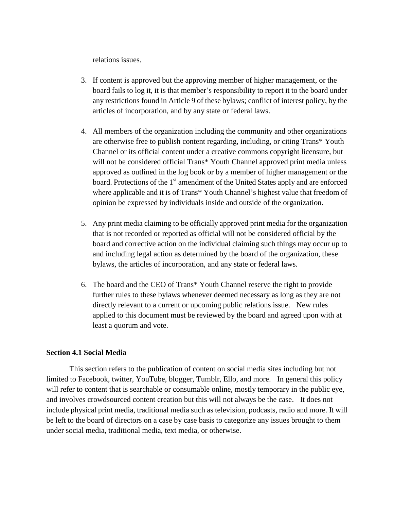relations issues.

- 3. If content is approved but the approving member of higher management, or the board fails to log it, it is that member's responsibility to report it to the board under any restrictions found in Article 9 of these bylaws; conflict of interest policy, by the articles of incorporation, and by any state or federal laws.
- 4. All members of the organization including the community and other organizations are otherwise free to publish content regarding, including, or citing Trans\* Youth Channel or its official content under a creative commons copyright licensure, but will not be considered official Trans\* Youth Channel approved print media unless approved as outlined in the log book or by a member of higher management or the board. Protections of the  $1<sup>st</sup>$  amendment of the United States apply and are enforced where applicable and it is of Trans\* Youth Channel's highest value that freedom of opinion be expressed by individuals inside and outside of the organization.
- 5. Any print media claiming to be officially approved print media for the organization that is not recorded or reported as official will not be considered official by the board and corrective action on the individual claiming such things may occur up to and including legal action as determined by the board of the organization, these bylaws, the articles of incorporation, and any state or federal laws.
- 6. The board and the CEO of Trans\* Youth Channel reserve the right to provide further rules to these bylaws whenever deemed necessary as long as they are not directly relevant to a current or upcoming public relations issue. New rules applied to this document must be reviewed by the board and agreed upon with at least a quorum and vote.

## **Section 4.1 Social Media**

This section refers to the publication of content on social media sites including but not limited to Facebook, twitter, YouTube, blogger, Tumblr, Ello, and more. In general this policy will refer to content that is searchable or consumable online, mostly temporary in the public eye, and involves crowdsourced content creation but this will not always be the case. It does not include physical print media, traditional media such as television, podcasts, radio and more. It will be left to the board of directors on a case by case basis to categorize any issues brought to them under social media, traditional media, text media, or otherwise.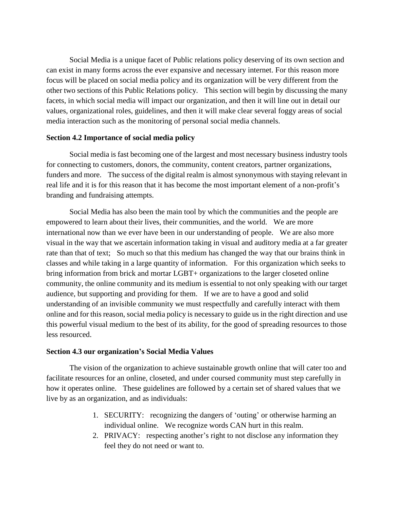Social Media is a unique facet of Public relations policy deserving of its own section and can exist in many forms across the ever expansive and necessary internet. For this reason more focus will be placed on social media policy and its organization will be very different from the other two sections of this Public Relations policy. This section will begin by discussing the many facets, in which social media will impact our organization, and then it will line out in detail our values, organizational roles, guidelines, and then it will make clear several foggy areas of social media interaction such as the monitoring of personal social media channels.

#### **Section 4.2 Importance of social media policy**

Social media is fast becoming one of the largest and most necessary business industry tools for connecting to customers, donors, the community, content creators, partner organizations, funders and more. The success of the digital realm is almost synonymous with staying relevant in real life and it is for this reason that it has become the most important element of a non-profit's branding and fundraising attempts.

Social Media has also been the main tool by which the communities and the people are empowered to learn about their lives, their communities, and the world. We are more international now than we ever have been in our understanding of people. We are also more visual in the way that we ascertain information taking in visual and auditory media at a far greater rate than that of text; So much so that this medium has changed the way that our brains think in classes and while taking in a large quantity of information. For this organization which seeks to bring information from brick and mortar LGBT+ organizations to the larger closeted online community, the online community and its medium is essential to not only speaking with our target audience, but supporting and providing for them. If we are to have a good and solid understanding of an invisible community we must respectfully and carefully interact with them online and for this reason, social media policy is necessary to guide us in the right direction and use this powerful visual medium to the best of its ability, for the good of spreading resources to those less resourced.

## **Section 4.3 our organization's Social Media Values**

The vision of the organization to achieve sustainable growth online that will cater too and facilitate resources for an online, closeted, and under coursed community must step carefully in how it operates online. These guidelines are followed by a certain set of shared values that we live by as an organization, and as individuals:

- 1. SECURITY: recognizing the dangers of 'outing' or otherwise harming an individual online. We recognize words CAN hurt in this realm.
- 2. PRIVACY: respecting another's right to not disclose any information they feel they do not need or want to.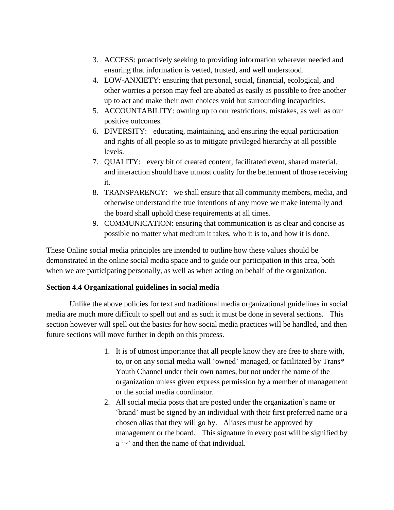- 3. ACCESS: proactively seeking to providing information wherever needed and ensuring that information is vetted, trusted, and well understood.
- 4. LOW-ANXIETY: ensuring that personal, social, financial, ecological, and other worries a person may feel are abated as easily as possible to free another up to act and make their own choices void but surrounding incapacities.
- 5. ACCOUNTABILITY: owning up to our restrictions, mistakes, as well as our positive outcomes.
- 6. DIVERSITY: educating, maintaining, and ensuring the equal participation and rights of all people so as to mitigate privileged hierarchy at all possible levels.
- 7. QUALITY: every bit of created content, facilitated event, shared material, and interaction should have utmost quality for the betterment of those receiving it.
- 8. TRANSPARENCY: we shall ensure that all community members, media, and otherwise understand the true intentions of any move we make internally and the board shall uphold these requirements at all times.
- 9. COMMUNICATION: ensuring that communication is as clear and concise as possible no matter what medium it takes, who it is to, and how it is done.

These Online social media principles are intended to outline how these values should be demonstrated in the online social media space and to guide our participation in this area, both when we are participating personally, as well as when acting on behalf of the organization.

# **Section 4.4 Organizational guidelines in social media**

Unlike the above policies for text and traditional media organizational guidelines in social media are much more difficult to spell out and as such it must be done in several sections. This section however will spell out the basics for how social media practices will be handled, and then future sections will move further in depth on this process.

- 1. It is of utmost importance that all people know they are free to share with, to, or on any social media wall 'owned' managed, or facilitated by Trans\* Youth Channel under their own names, but not under the name of the organization unless given express permission by a member of management or the social media coordinator.
- 2. All social media posts that are posted under the organization's name or 'brand' must be signed by an individual with their first preferred name or a chosen alias that they will go by. Aliases must be approved by management or the board. This signature in every post will be signified by a '~' and then the name of that individual.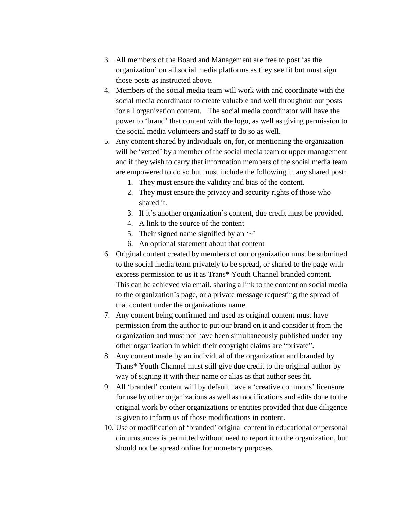- 3. All members of the Board and Management are free to post 'as the organization' on all social media platforms as they see fit but must sign those posts as instructed above.
- 4. Members of the social media team will work with and coordinate with the social media coordinator to create valuable and well throughout out posts for all organization content. The social media coordinator will have the power to 'brand' that content with the logo, as well as giving permission to the social media volunteers and staff to do so as well.
- 5. Any content shared by individuals on, for, or mentioning the organization will be 'vetted' by a member of the social media team or upper management and if they wish to carry that information members of the social media team are empowered to do so but must include the following in any shared post:
	- 1. They must ensure the validity and bias of the content.
	- 2. They must ensure the privacy and security rights of those who shared it.
	- 3. If it's another organization's content, due credit must be provided.
	- 4. A link to the source of the content
	- 5. Their signed name signified by an  $\sim$ '
	- 6. An optional statement about that content
- 6. Original content created by members of our organization must be submitted to the social media team privately to be spread, or shared to the page with express permission to us it as Trans\* Youth Channel branded content. This can be achieved via email, sharing a link to the content on social media to the organization's page, or a private message requesting the spread of that content under the organizations name.
- 7. Any content being confirmed and used as original content must have permission from the author to put our brand on it and consider it from the organization and must not have been simultaneously published under any other organization in which their copyright claims are "private".
- 8. Any content made by an individual of the organization and branded by Trans\* Youth Channel must still give due credit to the original author by way of signing it with their name or alias as that author sees fit.
- 9. All 'branded' content will by default have a 'creative commons' licensure for use by other organizations as well as modifications and edits done to the original work by other organizations or entities provided that due diligence is given to inform us of those modifications in content.
- 10. Use or modification of 'branded' original content in educational or personal circumstances is permitted without need to report it to the organization, but should not be spread online for monetary purposes.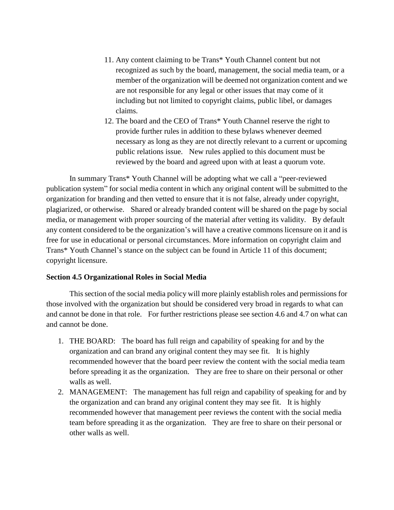- 11. Any content claiming to be Trans\* Youth Channel content but not recognized as such by the board, management, the social media team, or a member of the organization will be deemed not organization content and we are not responsible for any legal or other issues that may come of it including but not limited to copyright claims, public libel, or damages claims.
- 12. The board and the CEO of Trans\* Youth Channel reserve the right to provide further rules in addition to these bylaws whenever deemed necessary as long as they are not directly relevant to a current or upcoming public relations issue. New rules applied to this document must be reviewed by the board and agreed upon with at least a quorum vote.

In summary Trans\* Youth Channel will be adopting what we call a "peer-reviewed publication system" for social media content in which any original content will be submitted to the organization for branding and then vetted to ensure that it is not false, already under copyright, plagiarized, or otherwise. Shared or already branded content will be shared on the page by social media, or management with proper sourcing of the material after vetting its validity. By default any content considered to be the organization's will have a creative commons licensure on it and is free for use in educational or personal circumstances. More information on copyright claim and Trans\* Youth Channel's stance on the subject can be found in Article 11 of this document; copyright licensure.

## **Section 4.5 Organizational Roles in Social Media**

This section of the social media policy will more plainly establish roles and permissions for those involved with the organization but should be considered very broad in regards to what can and cannot be done in that role. For further restrictions please see section 4.6 and 4.7 on what can and cannot be done.

- 1. THE BOARD: The board has full reign and capability of speaking for and by the organization and can brand any original content they may see fit. It is highly recommended however that the board peer review the content with the social media team before spreading it as the organization. They are free to share on their personal or other walls as well.
- 2. MANAGEMENT: The management has full reign and capability of speaking for and by the organization and can brand any original content they may see fit. It is highly recommended however that management peer reviews the content with the social media team before spreading it as the organization. They are free to share on their personal or other walls as well.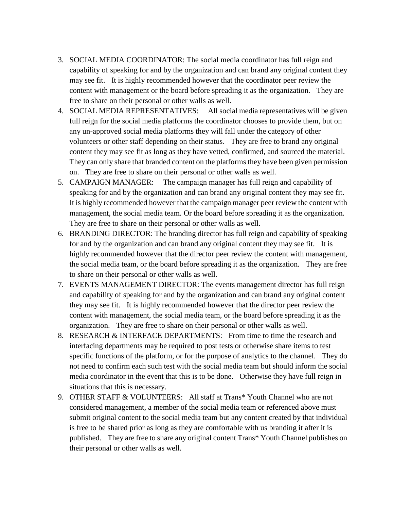- 3. SOCIAL MEDIA COORDINATOR: The social media coordinator has full reign and capability of speaking for and by the organization and can brand any original content they may see fit. It is highly recommended however that the coordinator peer review the content with management or the board before spreading it as the organization. They are free to share on their personal or other walls as well.
- 4. SOCIAL MEDIA REPRESENTATIVES: All social media representatives will be given full reign for the social media platforms the coordinator chooses to provide them, but on any un-approved social media platforms they will fall under the category of other volunteers or other staff depending on their status. They are free to brand any original content they may see fit as long as they have vetted, confirmed, and sourced the material. They can only share that branded content on the platforms they have been given permission on. They are free to share on their personal or other walls as well.
- 5. CAMPAIGN MANAGER: The campaign manager has full reign and capability of speaking for and by the organization and can brand any original content they may see fit. It is highly recommended however that the campaign manager peer review the content with management, the social media team. Or the board before spreading it as the organization. They are free to share on their personal or other walls as well.
- 6. BRANDING DIRECTOR: The branding director has full reign and capability of speaking for and by the organization and can brand any original content they may see fit. It is highly recommended however that the director peer review the content with management, the social media team, or the board before spreading it as the organization. They are free to share on their personal or other walls as well.
- 7. EVENTS MANAGEMENT DIRECTOR: The events management director has full reign and capability of speaking for and by the organization and can brand any original content they may see fit. It is highly recommended however that the director peer review the content with management, the social media team, or the board before spreading it as the organization. They are free to share on their personal or other walls as well.
- 8. RESEARCH & INTERFACE DEPARTMENTS: From time to time the research and interfacing departments may be required to post tests or otherwise share items to test specific functions of the platform, or for the purpose of analytics to the channel. They do not need to confirm each such test with the social media team but should inform the social media coordinator in the event that this is to be done. Otherwise they have full reign in situations that this is necessary.
- 9. OTHER STAFF & VOLUNTEERS: All staff at Trans\* Youth Channel who are not considered management, a member of the social media team or referenced above must submit original content to the social media team but any content created by that individual is free to be shared prior as long as they are comfortable with us branding it after it is published. They are free to share any original content Trans\* Youth Channel publishes on their personal or other walls as well.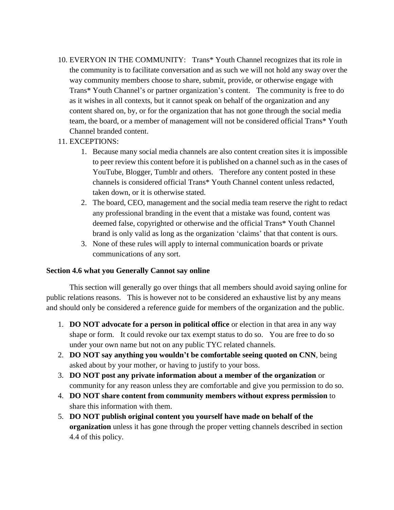- 10. EVERYON IN THE COMMUNITY: Trans\* Youth Channel recognizes that its role in the community is to facilitate conversation and as such we will not hold any sway over the way community members choose to share, submit, provide, or otherwise engage with Trans\* Youth Channel's or partner organization's content. The community is free to do as it wishes in all contexts, but it cannot speak on behalf of the organization and any content shared on, by, or for the organization that has not gone through the social media team, the board, or a member of management will not be considered official Trans\* Youth Channel branded content.
- 11. EXCEPTIONS:
	- 1. Because many social media channels are also content creation sites it is impossible to peer review this content before it is published on a channel such as in the cases of YouTube, Blogger, Tumblr and others. Therefore any content posted in these channels is considered official Trans\* Youth Channel content unless redacted, taken down, or it is otherwise stated.
	- 2. The board, CEO, management and the social media team reserve the right to redact any professional branding in the event that a mistake was found, content was deemed false, copyrighted or otherwise and the official Trans\* Youth Channel brand is only valid as long as the organization 'claims' that that content is ours.
	- 3. None of these rules will apply to internal communication boards or private communications of any sort.

## **Section 4.6 what you Generally Cannot say online**

This section will generally go over things that all members should avoid saying online for public relations reasons. This is however not to be considered an exhaustive list by any means and should only be considered a reference guide for members of the organization and the public.

- 1. **DO NOT advocate for a person in political office** or election in that area in any way shape or form. It could revoke our tax exempt status to do so. You are free to do so under your own name but not on any public TYC related channels.
- 2. **DO NOT say anything you wouldn't be comfortable seeing quoted on CNN**, being asked about by your mother, or having to justify to your boss.
- 3. **DO NOT post any private information about a member of the organization** or community for any reason unless they are comfortable and give you permission to do so.
- 4. **DO NOT share content from community members without express permission** to share this information with them.
- 5. **DO NOT publish original content you yourself have made on behalf of the organization** unless it has gone through the proper vetting channels described in section 4.4 of this policy.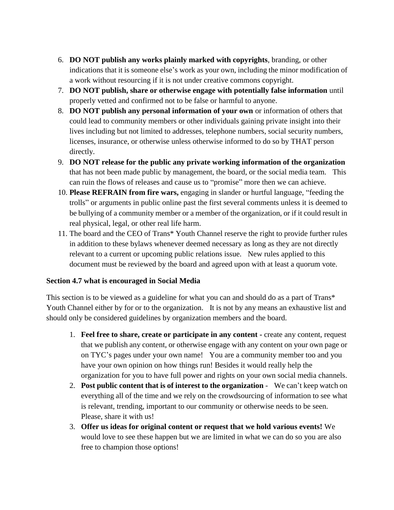- 6. **DO NOT publish any works plainly marked with copyrights**, branding, or other indications that it is someone else's work as your own, including the minor modification of a work without resourcing if it is not under creative commons copyright.
- 7. **DO NOT publish, share or otherwise engage with potentially false information** until properly vetted and confirmed not to be false or harmful to anyone.
- 8. **DO NOT publish any personal information of your own** or information of others that could lead to community members or other individuals gaining private insight into their lives including but not limited to addresses, telephone numbers, social security numbers, licenses, insurance, or otherwise unless otherwise informed to do so by THAT person directly.
- 9. **DO NOT release for the public any private working information of the organization** that has not been made public by management, the board, or the social media team. This can ruin the flows of releases and cause us to "promise" more then we can achieve.
- 10. **Please REFRAIN from fire wars,** engaging in slander or hurtful language, "feeding the trolls" or arguments in public online past the first several comments unless it is deemed to be bullying of a community member or a member of the organization, or if it could result in real physical, legal, or other real life harm.
- 11. The board and the CEO of Trans\* Youth Channel reserve the right to provide further rules in addition to these bylaws whenever deemed necessary as long as they are not directly relevant to a current or upcoming public relations issue. New rules applied to this document must be reviewed by the board and agreed upon with at least a quorum vote.

## **Section 4.7 what is encouraged in Social Media**

This section is to be viewed as a guideline for what you can and should do as a part of Trans\* Youth Channel either by for or to the organization. It is not by any means an exhaustive list and should only be considered guidelines by organization members and the board.

- 1. **Feel free to share, create or participate in any content -** create any content, request that we publish any content, or otherwise engage with any content on your own page or on TYC's pages under your own name! You are a community member too and you have your own opinion on how things run! Besides it would really help the organization for you to have full power and rights on your own social media channels.
- 2. **Post public content that is of interest to the organization** We can't keep watch on everything all of the time and we rely on the crowdsourcing of information to see what is relevant, trending, important to our community or otherwise needs to be seen. Please, share it with us!
- 3. **Offer us ideas for original content or request that we hold various events!** We would love to see these happen but we are limited in what we can do so you are also free to champion those options!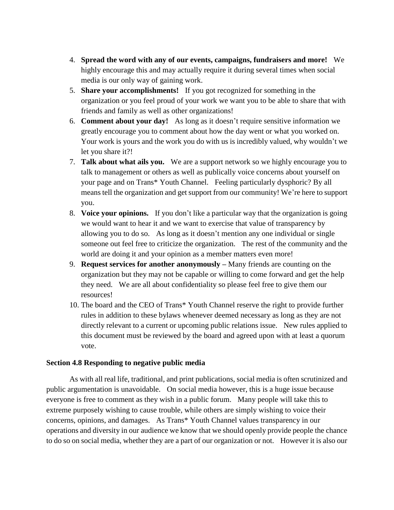- 4. **Spread the word with any of our events, campaigns, fundraisers and more!** We highly encourage this and may actually require it during several times when social media is our only way of gaining work.
- 5. **Share your accomplishments!** If you got recognized for something in the organization or you feel proud of your work we want you to be able to share that with friends and family as well as other organizations!
- 6. **Comment about your day!** As long as it doesn't require sensitive information we greatly encourage you to comment about how the day went or what you worked on. Your work is yours and the work you do with us is incredibly valued, why wouldn't we let you share it?!
- 7. **Talk about what ails you.** We are a support network so we highly encourage you to talk to management or others as well as publically voice concerns about yourself on your page and on Trans\* Youth Channel. Feeling particularly dysphoric? By all means tell the organization and get support from our community! We're here to support you.
- 8. **Voice your opinions.** If you don't like a particular way that the organization is going we would want to hear it and we want to exercise that value of transparency by allowing you to do so. As long as it doesn't mention any one individual or single someone out feel free to criticize the organization. The rest of the community and the world are doing it and your opinion as a member matters even more!
- 9. **Request services for another anonymously –** Many friends are counting on the organization but they may not be capable or willing to come forward and get the help they need. We are all about confidentiality so please feel free to give them our resources!
- 10. The board and the CEO of Trans\* Youth Channel reserve the right to provide further rules in addition to these bylaws whenever deemed necessary as long as they are not directly relevant to a current or upcoming public relations issue. New rules applied to this document must be reviewed by the board and agreed upon with at least a quorum vote.

## **Section 4.8 Responding to negative public media**

As with all real life, traditional, and print publications, social media is often scrutinized and public argumentation is unavoidable. On social media however, this is a huge issue because everyone is free to comment as they wish in a public forum. Many people will take this to extreme purposely wishing to cause trouble, while others are simply wishing to voice their concerns, opinions, and damages. As Trans\* Youth Channel values transparency in our operations and diversity in our audience we know that we should openly provide people the chance to do so on social media, whether they are a part of our organization or not. However it is also our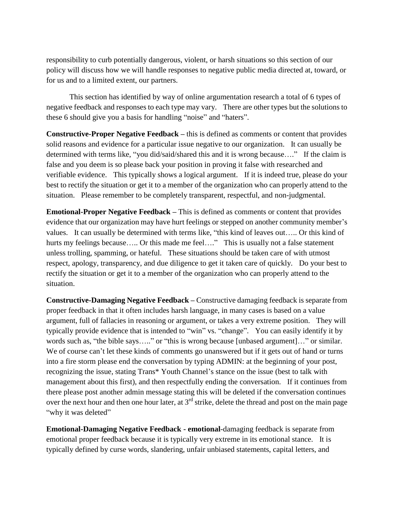responsibility to curb potentially dangerous, violent, or harsh situations so this section of our policy will discuss how we will handle responses to negative public media directed at, toward, or for us and to a limited extent, our partners.

This section has identified by way of online argumentation research a total of 6 types of negative feedback and responses to each type may vary. There are other types but the solutions to these 6 should give you a basis for handling "noise" and "haters".

**Constructive-Proper Negative Feedback –** this is defined as comments or content that provides solid reasons and evidence for a particular issue negative to our organization. It can usually be determined with terms like, "you did/said/shared this and it is wrong because…." If the claim is false and you deem is so please back your position in proving it false with researched and verifiable evidence. This typically shows a logical argument. If it is indeed true, please do your best to rectify the situation or get it to a member of the organization who can properly attend to the situation. Please remember to be completely transparent, respectful, and non-judgmental.

**Emotional-Proper Negative Feedback –** This is defined as comments or content that provides evidence that our organization may have hurt feelings or stepped on another community member's values. It can usually be determined with terms like, "this kind of leaves out….. Or this kind of hurts my feelings because..... Or this made me feel...." This is usually not a false statement unless trolling, spamming, or hateful. These situations should be taken care of with utmost respect, apology, transparency, and due diligence to get it taken care of quickly. Do your best to rectify the situation or get it to a member of the organization who can properly attend to the situation.

**Constructive-Damaging Negative Feedback –** Constructive damaging feedback is separate from proper feedback in that it often includes harsh language, in many cases is based on a value argument, full of fallacies in reasoning or argument, or takes a very extreme position. They will typically provide evidence that is intended to "win" vs. "change". You can easily identify it by words such as, "the bible says….." or "this is wrong because [unbased argument]…" or similar. We of course can't let these kinds of comments go unanswered but if it gets out of hand or turns into a fire storm please end the conversation by typing ADMIN: at the beginning of your post, recognizing the issue, stating Trans\* Youth Channel's stance on the issue (best to talk with management about this first), and then respectfully ending the conversation. If it continues from there please post another admin message stating this will be deleted if the conversation continues over the next hour and then one hour later, at  $3<sup>rd</sup>$  strike, delete the thread and post on the main page "why it was deleted"

**Emotional-Damaging Negative Feedback - emotional**-damaging feedback is separate from emotional proper feedback because it is typically very extreme in its emotional stance. It is typically defined by curse words, slandering, unfair unbiased statements, capital letters, and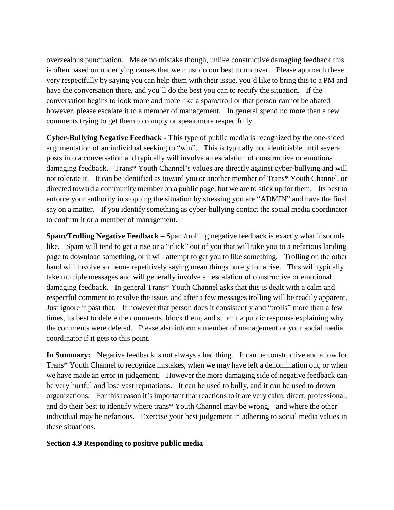overzealous punctuation. Make no mistake though, unlike constructive damaging feedback this is often based on underlying causes that we must do our best to uncover. Please approach these very respectfully by saying you can help them with their issue, you'd like to bring this to a PM and have the conversation there, and you'll do the best you can to rectify the situation. If the conversation begins to look more and more like a spam/troll or that person cannot be abated however, please escalate it to a member of management. In general spend no more than a few comments trying to get them to comply or speak more respectfully.

**Cyber-Bullying Negative Feedback - This** type of public media is recognized by the one-sided argumentation of an individual seeking to "win". This is typically not identifiable until several posts into a conversation and typically will involve an escalation of constructive or emotional damaging feedback. Trans\* Youth Channel's values are directly against cyber-bullying and will not tolerate it. It can be identified as toward you or another member of Trans\* Youth Channel, or directed toward a community member on a public page, but we are to stick up for them. Its best to enforce your authority in stopping the situation by stressing you are "ADMIN" and have the final say on a matter. If you identify something as cyber-bullying contact the social media coordinator to confirm it or a member of management.

**Spam/Trolling Negative Feedback –** Spam/trolling negative feedback is exactly what it sounds like. Spam will tend to get a rise or a "click" out of you that will take you to a nefarious landing page to download something, or it will attempt to get you to like something. Trolling on the other hand will involve someone repetitively saying mean things purely for a rise. This will typically take multiple messages and will generally involve an escalation of constructive or emotional damaging feedback. In general Trans\* Youth Channel asks that this is dealt with a calm and respectful comment to resolve the issue, and after a few messages trolling will be readily apparent. Just ignore it past that. If however that person does it consistently and "trolls" more than a few times, its best to delete the comments, block them, and submit a public response explaining why the comments were deleted. Please also inform a member of management or your social media coordinator if it gets to this point.

**In Summary:** Negative feedback is not always a bad thing. It can be constructive and allow for Trans\* Youth Channel to recognize mistakes, when we may have left a denomination out, or when we have made an error in judgement. However the more damaging side of negative feedback can be very hurtful and lose vast reputations. It can be used to bully, and it can be used to drown organizations. For this reason it's important that reactions to it are very calm, direct, professional, and do their best to identify where trans\* Youth Channel may be wrong, and where the other individual may be nefarious. Exercise your best judgement in adhering to social media values in these situations.

# **Section 4.9 Responding to positive public media**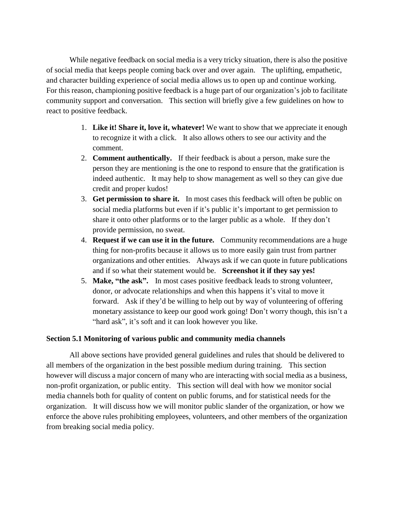While negative feedback on social media is a very tricky situation, there is also the positive of social media that keeps people coming back over and over again. The uplifting, empathetic, and character building experience of social media allows us to open up and continue working. For this reason, championing positive feedback is a huge part of our organization's job to facilitate community support and conversation. This section will briefly give a few guidelines on how to react to positive feedback.

- 1. **Like it! Share it, love it, whatever!** We want to show that we appreciate it enough to recognize it with a click. It also allows others to see our activity and the comment.
- 2. **Comment authentically.** If their feedback is about a person, make sure the person they are mentioning is the one to respond to ensure that the gratification is indeed authentic. It may help to show management as well so they can give due credit and proper kudos!
- 3. **Get permission to share it.** In most cases this feedback will often be public on social media platforms but even if it's public it's important to get permission to share it onto other platforms or to the larger public as a whole. If they don't provide permission, no sweat.
- 4. **Request if we can use it in the future.** Community recommendations are a huge thing for non-profits because it allows us to more easily gain trust from partner organizations and other entities. Always ask if we can quote in future publications and if so what their statement would be. **Screenshot it if they say yes!**
- 5. **Make, "the ask".** In most cases positive feedback leads to strong volunteer, donor, or advocate relationships and when this happens it's vital to move it forward. Ask if they'd be willing to help out by way of volunteering of offering monetary assistance to keep our good work going! Don't worry though, this isn't a "hard ask", it's soft and it can look however you like.

# **Section 5.1 Monitoring of various public and community media channels**

All above sections have provided general guidelines and rules that should be delivered to all members of the organization in the best possible medium during training. This section however will discuss a major concern of many who are interacting with social media as a business, non-profit organization, or public entity. This section will deal with how we monitor social media channels both for quality of content on public forums, and for statistical needs for the organization. It will discuss how we will monitor public slander of the organization, or how we enforce the above rules prohibiting employees, volunteers, and other members of the organization from breaking social media policy.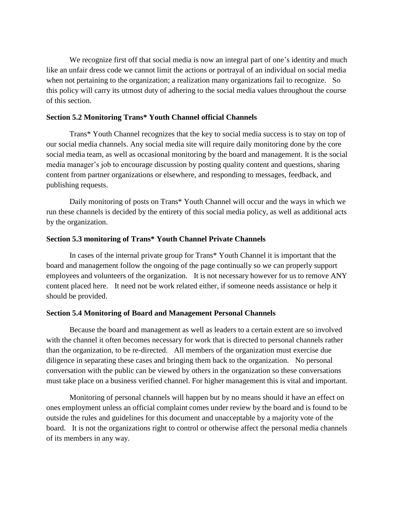We recognize first off that social media is now an integral part of one's identity and much like an unfair dress code we cannot limit the actions or portrayal of an individual on social media when not pertaining to the organization; a realization many organizations fail to recognize. So this policy will carry its utmost duty of adhering to the social media values throughout the course of this section.

## **Section 5.2 Monitoring Trans\* Youth Channel official Channels**

Trans\* Youth Channel recognizes that the key to social media success is to stay on top of our social media channels. Any social media site will require daily monitoring done by the core social media team, as well as occasional monitoring by the board and management. It is the social media manager's job to encourage discussion by posting quality content and questions, sharing content from partner organizations or elsewhere, and responding to messages, feedback, and publishing requests.

Daily monitoring of posts on Trans\* Youth Channel will occur and the ways in which we run these channels is decided by the entirety of this social media policy, as well as additional acts by the organization.

## **Section 5.3 monitoring of Trans\* Youth Channel Private Channels**

In cases of the internal private group for Trans\* Youth Channel it is important that the board and management follow the ongoing of the page continually so we can properly support employees and volunteers of the organization. It is not necessary however for us to remove ANY content placed here. It need not be work related either, if someone needs assistance or help it should be provided.

## **Section 5.4 Monitoring of Board and Management Personal Channels**

Because the board and management as well as leaders to a certain extent are so involved with the channel it often becomes necessary for work that is directed to personal channels rather than the organization, to be re-directed. All members of the organization must exercise due diligence in separating these cases and bringing them back to the organization. No personal conversation with the public can be viewed by others in the organization so these conversations must take place on a business verified channel. For higher management this is vital and important.

Monitoring of personal channels will happen but by no means should it have an effect on ones employment unless an official complaint comes under review by the board and is found to be outside the rules and guidelines for this document and unacceptable by a majority vote of the board. It is not the organizations right to control or otherwise affect the personal media channels of its members in any way.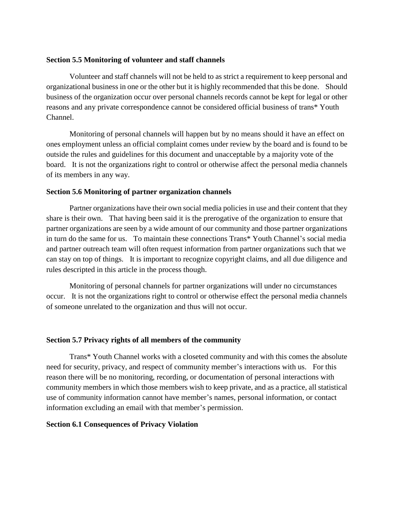#### **Section 5.5 Monitoring of volunteer and staff channels**

Volunteer and staff channels will not be held to as strict a requirement to keep personal and organizational business in one or the other but it is highly recommended that this be done. Should business of the organization occur over personal channels records cannot be kept for legal or other reasons and any private correspondence cannot be considered official business of trans\* Youth Channel.

Monitoring of personal channels will happen but by no means should it have an effect on ones employment unless an official complaint comes under review by the board and is found to be outside the rules and guidelines for this document and unacceptable by a majority vote of the board. It is not the organizations right to control or otherwise affect the personal media channels of its members in any way.

## **Section 5.6 Monitoring of partner organization channels**

Partner organizations have their own social media policies in use and their content that they share is their own. That having been said it is the prerogative of the organization to ensure that partner organizations are seen by a wide amount of our community and those partner organizations in turn do the same for us. To maintain these connections Trans\* Youth Channel's social media and partner outreach team will often request information from partner organizations such that we can stay on top of things. It is important to recognize copyright claims, and all due diligence and rules descripted in this article in the process though.

Monitoring of personal channels for partner organizations will under no circumstances occur. It is not the organizations right to control or otherwise effect the personal media channels of someone unrelated to the organization and thus will not occur.

## **Section 5.7 Privacy rights of all members of the community**

Trans\* Youth Channel works with a closeted community and with this comes the absolute need for security, privacy, and respect of community member's interactions with us. For this reason there will be no monitoring, recording, or documentation of personal interactions with community members in which those members wish to keep private, and as a practice, all statistical use of community information cannot have member's names, personal information, or contact information excluding an email with that member's permission.

## **Section 6.1 Consequences of Privacy Violation**